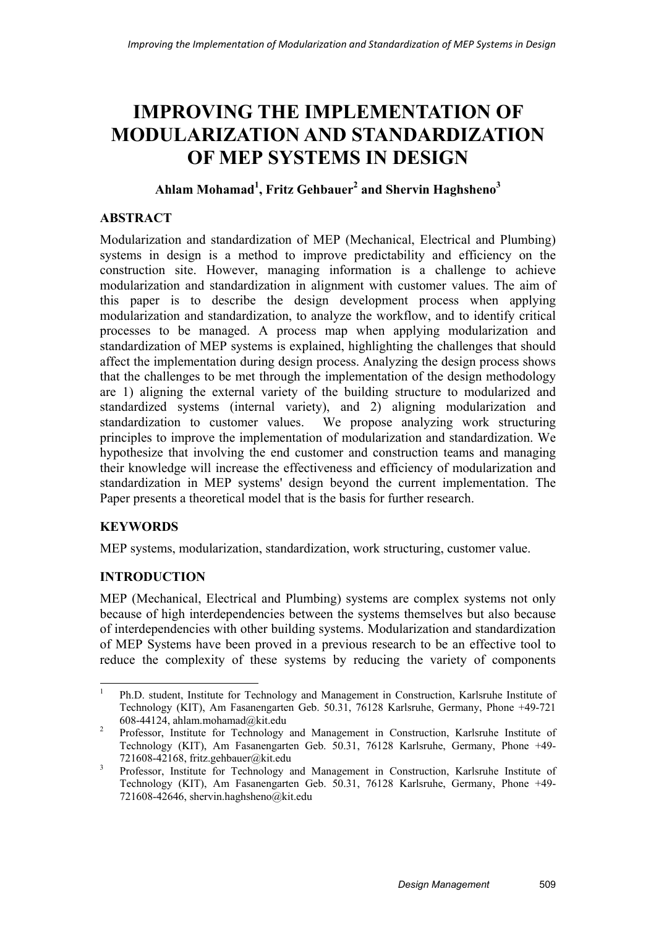# **IMPROVING THE IMPLEMENTATION OF MODULARIZATION AND STANDARDIZATION OF MEP SYSTEMS IN DESIGN**

# **Ahlam Mohamad1 , Fritz Gehbauer2 and Shervin Haghsheno<sup>3</sup>**

## **ABSTRACT**

Modularization and standardization of MEP (Mechanical, Electrical and Plumbing) systems in design is a method to improve predictability and efficiency on the construction site. However, managing information is a challenge to achieve modularization and standardization in alignment with customer values. The aim of this paper is to describe the design development process when applying modularization and standardization, to analyze the workflow, and to identify critical processes to be managed. A process map when applying modularization and standardization of MEP systems is explained, highlighting the challenges that should affect the implementation during design process. Analyzing the design process shows that the challenges to be met through the implementation of the design methodology are 1) aligning the external variety of the building structure to modularized and standardized systems (internal variety), and 2) aligning modularization and standardization to customer values. We propose analyzing work structuring principles to improve the implementation of modularization and standardization. We hypothesize that involving the end customer and construction teams and managing their knowledge will increase the effectiveness and efficiency of modularization and standardization in MEP systems' design beyond the current implementation. The Paper presents a theoretical model that is the basis for further research.

# **KEYWORDS**

MEP systems, modularization, standardization, work structuring, customer value.

## **INTRODUCTION**

MEP (Mechanical, Electrical and Plumbing) systems are complex systems not only because of high interdependencies between the systems themselves but also because of interdependencies with other building systems. Modularization and standardization of MEP Systems have been proved in a previous research to be an effective tool to reduce the complexity of these systems by reducing the variety of components

 $\frac{1}{1}$  Ph.D. student, Institute for Technology and Management in Construction, Karlsruhe Institute of Technology (KIT), Am Fasanengarten Geb. 50.31, 76128 Karlsruhe, Germany, Phone +49-721 608-44124, ahlam.mohamad@kit.edu

Professor, Institute for Technology and Management in Construction, Karlsruhe Institute of Technology (KIT), Am Fasanengarten Geb. 50.31, 76128 Karlsruhe, Germany, Phone +49- 721608-42168, fritz.gehbauer@kit.edu

<sup>&</sup>lt;sup>3</sup> Professor, Institute for Technology and Management in Construction, Karlsruhe Institute of Technology (KIT), Am Fasanengarten Geb. 50.31, 76128 Karlsruhe, Germany, Phone +49- 721608-42646, shervin.haghsheno@kit.edu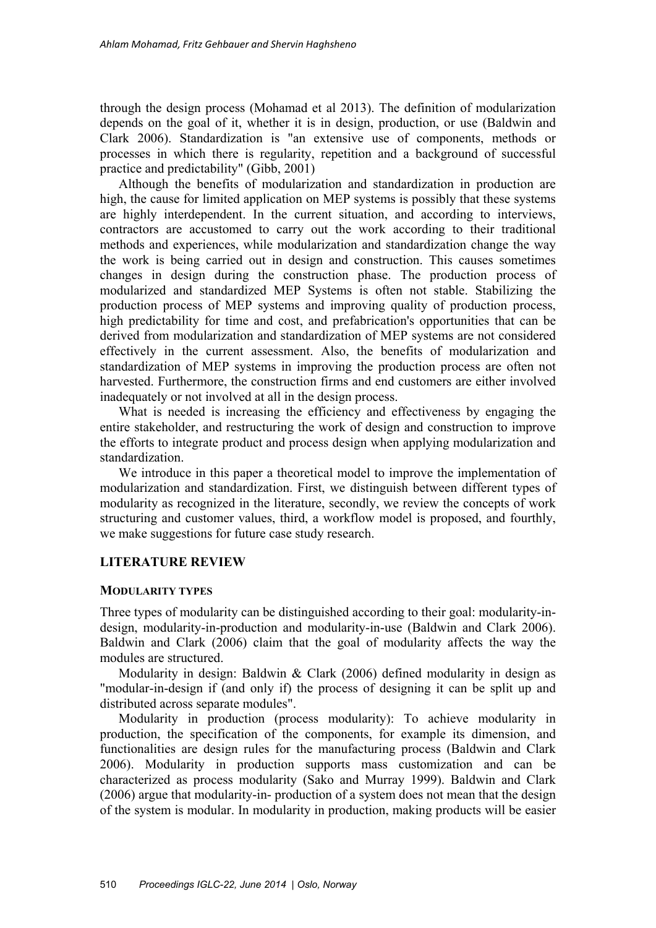through the design process (Mohamad et al 2013). The definition of modularization depends on the goal of it, whether it is in design, production, or use (Baldwin and Clark 2006). Standardization is "an extensive use of components, methods or processes in which there is regularity, repetition and a background of successful practice and predictability" (Gibb, 2001)

Although the benefits of modularization and standardization in production are high, the cause for limited application on MEP systems is possibly that these systems are highly interdependent. In the current situation, and according to interviews, contractors are accustomed to carry out the work according to their traditional methods and experiences, while modularization and standardization change the way the work is being carried out in design and construction. This causes sometimes changes in design during the construction phase. The production process of modularized and standardized MEP Systems is often not stable. Stabilizing the production process of MEP systems and improving quality of production process, high predictability for time and cost, and prefabrication's opportunities that can be derived from modularization and standardization of MEP systems are not considered effectively in the current assessment. Also, the benefits of modularization and standardization of MEP systems in improving the production process are often not harvested. Furthermore, the construction firms and end customers are either involved inadequately or not involved at all in the design process.

What is needed is increasing the efficiency and effectiveness by engaging the entire stakeholder, and restructuring the work of design and construction to improve the efforts to integrate product and process design when applying modularization and standardization.

We introduce in this paper a theoretical model to improve the implementation of modularization and standardization. First, we distinguish between different types of modularity as recognized in the literature, secondly, we review the concepts of work structuring and customer values, third, a workflow model is proposed, and fourthly, we make suggestions for future case study research.

# **LITERATURE REVIEW**

#### **MODULARITY TYPES**

Three types of modularity can be distinguished according to their goal: modularity-indesign, modularity-in-production and modularity-in-use (Baldwin and Clark 2006). Baldwin and Clark (2006) claim that the goal of modularity affects the way the modules are structured.

Modularity in design: Baldwin & Clark (2006) defined modularity in design as "modular-in-design if (and only if) the process of designing it can be split up and distributed across separate modules".

Modularity in production (process modularity): To achieve modularity in production, the specification of the components, for example its dimension, and functionalities are design rules for the manufacturing process (Baldwin and Clark 2006). Modularity in production supports mass customization and can be characterized as process modularity (Sako and Murray 1999). Baldwin and Clark (2006) argue that modularity-in- production of a system does not mean that the design of the system is modular. In modularity in production, making products will be easier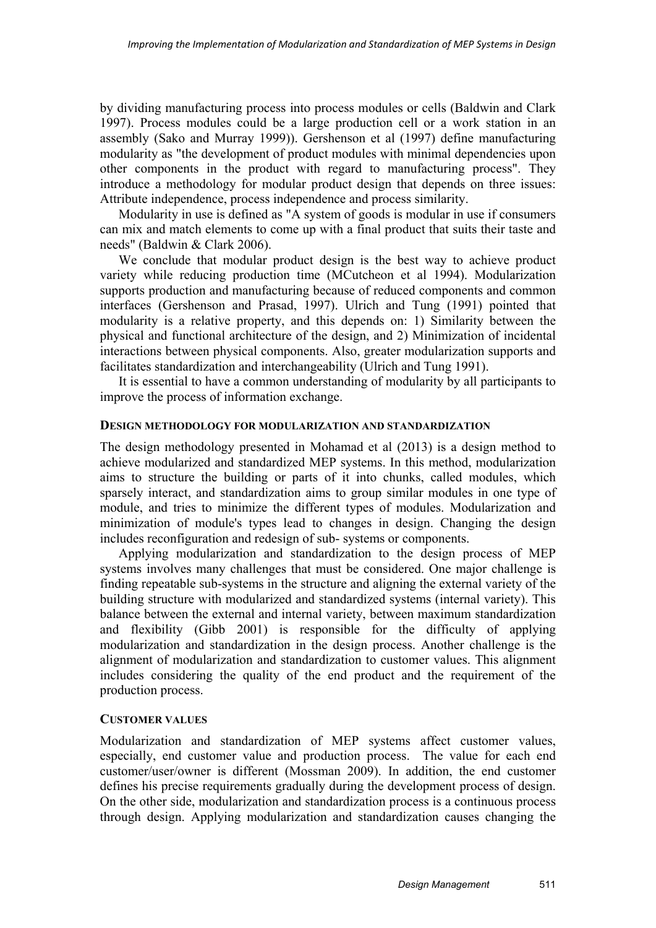by dividing manufacturing process into process modules or cells (Baldwin and Clark 1997). Process modules could be a large production cell or a work station in an assembly (Sako and Murray 1999)). Gershenson et al (1997) define manufacturing modularity as "the development of product modules with minimal dependencies upon other components in the product with regard to manufacturing process". They introduce a methodology for modular product design that depends on three issues: Attribute independence, process independence and process similarity.

Modularity in use is defined as "A system of goods is modular in use if consumers can mix and match elements to come up with a final product that suits their taste and needs" (Baldwin & Clark 2006).

We conclude that modular product design is the best way to achieve product variety while reducing production time (MCutcheon et al 1994). Modularization supports production and manufacturing because of reduced components and common interfaces (Gershenson and Prasad, 1997). Ulrich and Tung (1991) pointed that modularity is a relative property, and this depends on: 1) Similarity between the physical and functional architecture of the design, and 2) Minimization of incidental interactions between physical components. Also, greater modularization supports and facilitates standardization and interchangeability (Ulrich and Tung 1991).

It is essential to have a common understanding of modularity by all participants to improve the process of information exchange.

#### **DESIGN METHODOLOGY FOR MODULARIZATION AND STANDARDIZATION**

The design methodology presented in Mohamad et al (2013) is a design method to achieve modularized and standardized MEP systems. In this method, modularization aims to structure the building or parts of it into chunks, called modules, which sparsely interact, and standardization aims to group similar modules in one type of module, and tries to minimize the different types of modules. Modularization and minimization of module's types lead to changes in design. Changing the design includes reconfiguration and redesign of sub- systems or components.

Applying modularization and standardization to the design process of MEP systems involves many challenges that must be considered. One major challenge is finding repeatable sub-systems in the structure and aligning the external variety of the building structure with modularized and standardized systems (internal variety). This balance between the external and internal variety, between maximum standardization and flexibility (Gibb 2001) is responsible for the difficulty of applying modularization and standardization in the design process. Another challenge is the alignment of modularization and standardization to customer values. This alignment includes considering the quality of the end product and the requirement of the production process.

#### **CUSTOMER VALUES**

Modularization and standardization of MEP systems affect customer values, especially, end customer value and production process. The value for each end customer/user/owner is different (Mossman 2009). In addition, the end customer defines his precise requirements gradually during the development process of design. On the other side, modularization and standardization process is a continuous process through design. Applying modularization and standardization causes changing the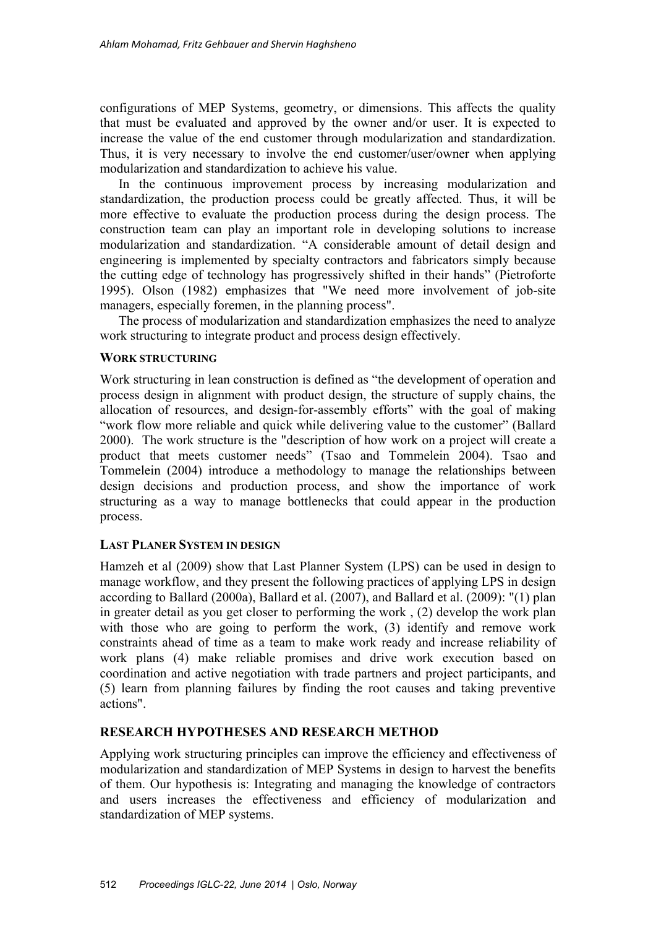configurations of MEP Systems, geometry, or dimensions. This affects the quality that must be evaluated and approved by the owner and/or user. It is expected to increase the value of the end customer through modularization and standardization. Thus, it is very necessary to involve the end customer/user/owner when applying modularization and standardization to achieve his value.

In the continuous improvement process by increasing modularization and standardization, the production process could be greatly affected. Thus, it will be more effective to evaluate the production process during the design process. The construction team can play an important role in developing solutions to increase modularization and standardization. "A considerable amount of detail design and engineering is implemented by specialty contractors and fabricators simply because the cutting edge of technology has progressively shifted in their hands" (Pietroforte 1995). Olson (1982) emphasizes that "We need more involvement of job-site managers, especially foremen, in the planning process".

The process of modularization and standardization emphasizes the need to analyze work structuring to integrate product and process design effectively.

## **WORK STRUCTURING**

Work structuring in lean construction is defined as "the development of operation and process design in alignment with product design, the structure of supply chains, the allocation of resources, and design-for-assembly efforts" with the goal of making "work flow more reliable and quick while delivering value to the customer" (Ballard 2000). The work structure is the "description of how work on a project will create a product that meets customer needs" (Tsao and Tommelein 2004). Tsao and Tommelein (2004) introduce a methodology to manage the relationships between design decisions and production process, and show the importance of work structuring as a way to manage bottlenecks that could appear in the production process.

## **LAST PLANER SYSTEM IN DESIGN**

Hamzeh et al (2009) show that Last Planner System (LPS) can be used in design to manage workflow, and they present the following practices of applying LPS in design according to Ballard (2000a), Ballard et al. (2007), and Ballard et al. (2009): "(1) plan in greater detail as you get closer to performing the work , (2) develop the work plan with those who are going to perform the work, (3) identify and remove work constraints ahead of time as a team to make work ready and increase reliability of work plans (4) make reliable promises and drive work execution based on coordination and active negotiation with trade partners and project participants, and (5) learn from planning failures by finding the root causes and taking preventive actions".

## **RESEARCH HYPOTHESES AND RESEARCH METHOD**

Applying work structuring principles can improve the efficiency and effectiveness of modularization and standardization of MEP Systems in design to harvest the benefits of them. Our hypothesis is: Integrating and managing the knowledge of contractors and users increases the effectiveness and efficiency of modularization and standardization of MEP systems.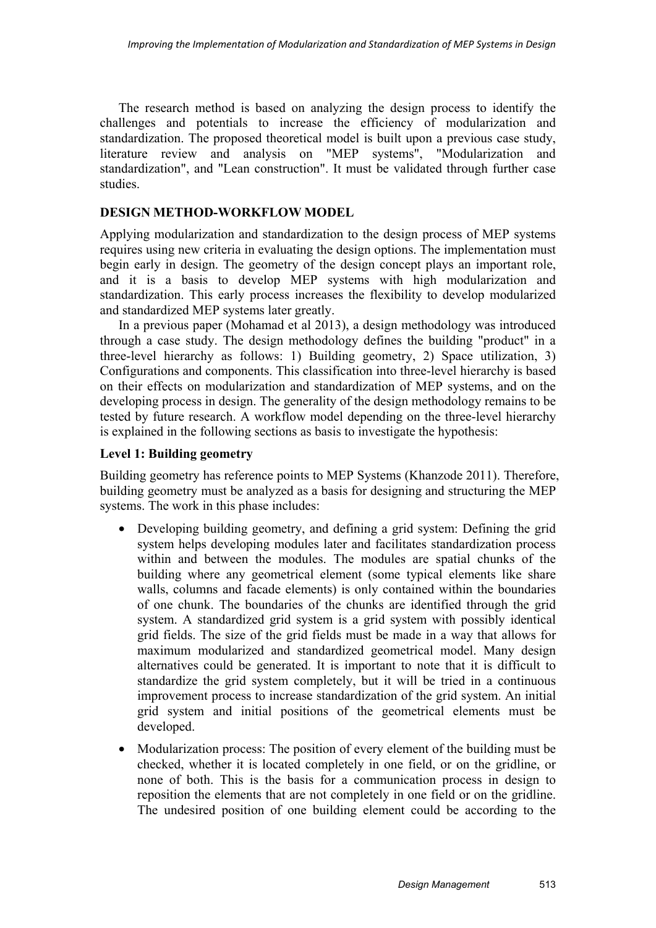The research method is based on analyzing the design process to identify the challenges and potentials to increase the efficiency of modularization and standardization. The proposed theoretical model is built upon a previous case study, literature review and analysis on "MEP systems", "Modularization and standardization", and "Lean construction". It must be validated through further case studies.

#### **DESIGN METHOD-WORKFLOW MODEL**

Applying modularization and standardization to the design process of MEP systems requires using new criteria in evaluating the design options. The implementation must begin early in design. The geometry of the design concept plays an important role, and it is a basis to develop MEP systems with high modularization and standardization. This early process increases the flexibility to develop modularized and standardized MEP systems later greatly.

In a previous paper (Mohamad et al 2013), a design methodology was introduced through a case study. The design methodology defines the building "product" in a three-level hierarchy as follows: 1) Building geometry, 2) Space utilization, 3) Configurations and components. This classification into three-level hierarchy is based on their effects on modularization and standardization of MEP systems, and on the developing process in design. The generality of the design methodology remains to be tested by future research. A workflow model depending on the three-level hierarchy is explained in the following sections as basis to investigate the hypothesis:

#### **Level 1: Building geometry**

Building geometry has reference points to MEP Systems (Khanzode 2011). Therefore, building geometry must be analyzed as a basis for designing and structuring the MEP systems. The work in this phase includes:

- Developing building geometry, and defining a grid system: Defining the grid system helps developing modules later and facilitates standardization process within and between the modules. The modules are spatial chunks of the building where any geometrical element (some typical elements like share walls, columns and facade elements) is only contained within the boundaries of one chunk. The boundaries of the chunks are identified through the grid system. A standardized grid system is a grid system with possibly identical grid fields. The size of the grid fields must be made in a way that allows for maximum modularized and standardized geometrical model. Many design alternatives could be generated. It is important to note that it is difficult to standardize the grid system completely, but it will be tried in a continuous improvement process to increase standardization of the grid system. An initial grid system and initial positions of the geometrical elements must be developed.
- Modularization process: The position of every element of the building must be checked, whether it is located completely in one field, or on the gridline, or none of both. This is the basis for a communication process in design to reposition the elements that are not completely in one field or on the gridline. The undesired position of one building element could be according to the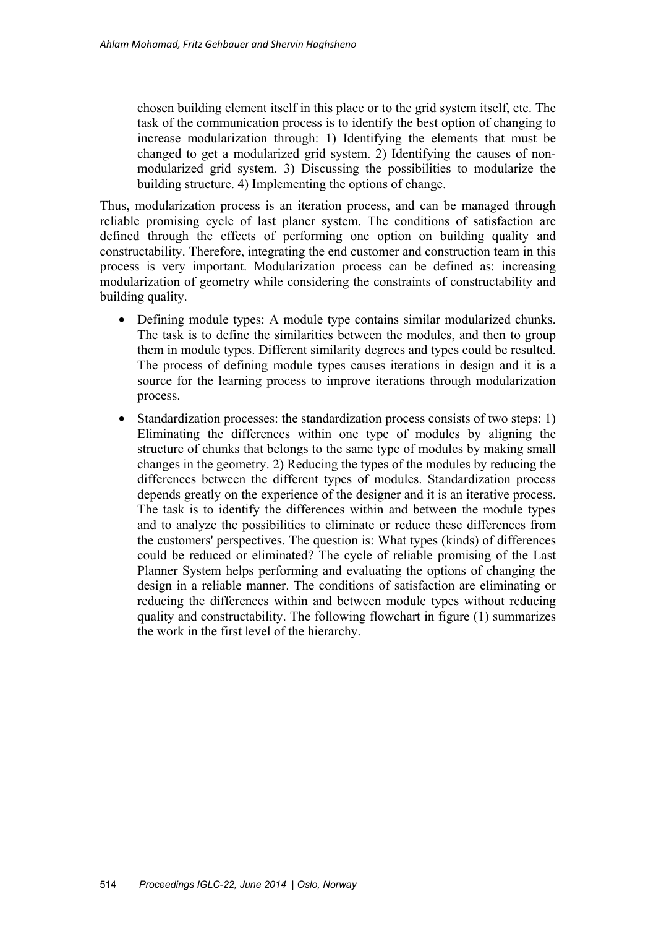chosen building element itself in this place or to the grid system itself, etc. The task of the communication process is to identify the best option of changing to increase modularization through: 1) Identifying the elements that must be changed to get a modularized grid system. 2) Identifying the causes of nonmodularized grid system. 3) Discussing the possibilities to modularize the building structure. 4) Implementing the options of change.

Thus, modularization process is an iteration process, and can be managed through reliable promising cycle of last planer system. The conditions of satisfaction are defined through the effects of performing one option on building quality and constructability. Therefore, integrating the end customer and construction team in this process is very important. Modularization process can be defined as: increasing modularization of geometry while considering the constraints of constructability and building quality.

- Defining module types: A module type contains similar modularized chunks. The task is to define the similarities between the modules, and then to group them in module types. Different similarity degrees and types could be resulted. The process of defining module types causes iterations in design and it is a source for the learning process to improve iterations through modularization process.
- Standardization processes: the standardization process consists of two steps: 1) Eliminating the differences within one type of modules by aligning the structure of chunks that belongs to the same type of modules by making small changes in the geometry. 2) Reducing the types of the modules by reducing the differences between the different types of modules. Standardization process depends greatly on the experience of the designer and it is an iterative process. The task is to identify the differences within and between the module types and to analyze the possibilities to eliminate or reduce these differences from the customers' perspectives. The question is: What types (kinds) of differences could be reduced or eliminated? The cycle of reliable promising of the Last Planner System helps performing and evaluating the options of changing the design in a reliable manner. The conditions of satisfaction are eliminating or reducing the differences within and between module types without reducing quality and constructability. The following flowchart in figure (1) summarizes the work in the first level of the hierarchy.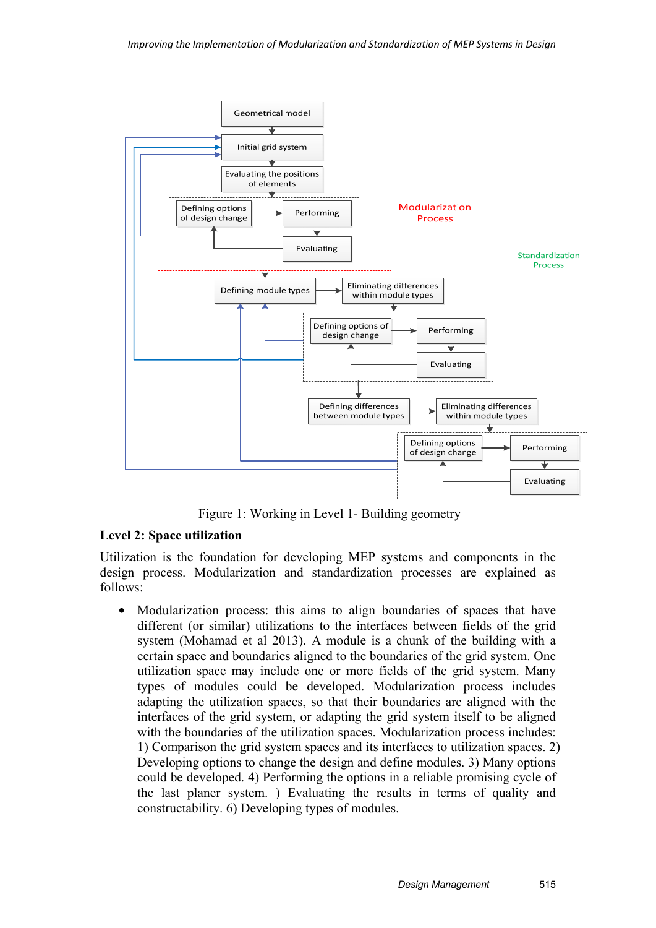

Figure 1: Working in Level 1- Building geometry

## **Level 2: Space utilization**

Utilization is the foundation for developing MEP systems and components in the design process. Modularization and standardization processes are explained as follows:

• Modularization process: this aims to align boundaries of spaces that have different (or similar) utilizations to the interfaces between fields of the grid system (Mohamad et al 2013). A module is a chunk of the building with a certain space and boundaries aligned to the boundaries of the grid system. One utilization space may include one or more fields of the grid system. Many types of modules could be developed. Modularization process includes adapting the utilization spaces, so that their boundaries are aligned with the interfaces of the grid system, or adapting the grid system itself to be aligned with the boundaries of the utilization spaces. Modularization process includes: 1) Comparison the grid system spaces and its interfaces to utilization spaces. 2) Developing options to change the design and define modules. 3) Many options could be developed. 4) Performing the options in a reliable promising cycle of the last planer system. ) Evaluating the results in terms of quality and constructability. 6) Developing types of modules.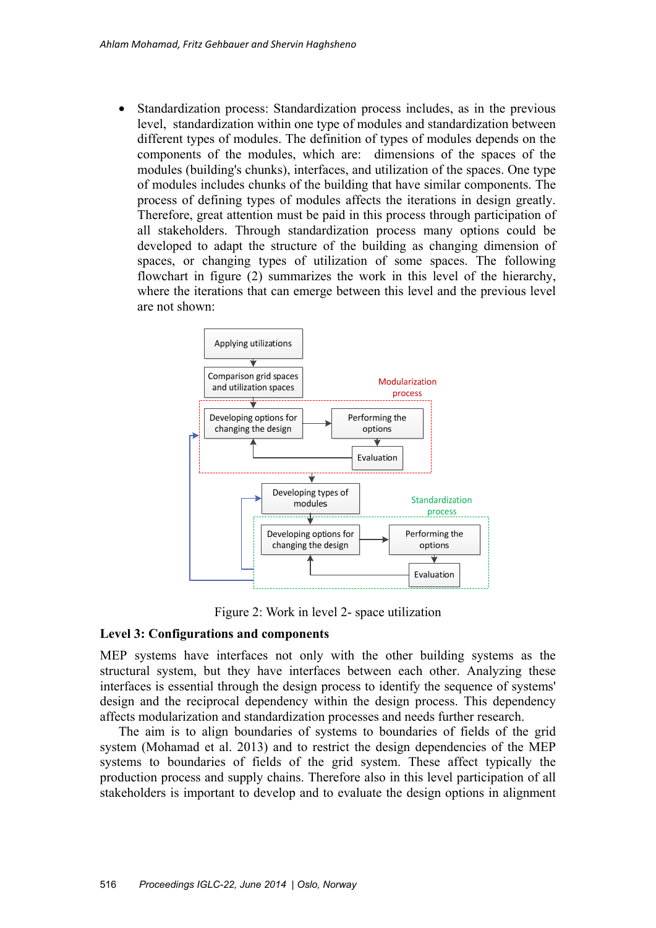• Standardization process: Standardization process includes, as in the previous level, standardization within one type of modules and standardization between different types of modules. The definition of types of modules depends on the components of the modules, which are: dimensions of the spaces of the modules (building's chunks), interfaces, and utilization of the spaces. One type of modules includes chunks of the building that have similar components. The process of defining types of modules affects the iterations in design greatly. Therefore, great attention must be paid in this process through participation of all stakeholders. Through standardization process many options could be developed to adapt the structure of the building as changing dimension of spaces, or changing types of utilization of some spaces. The following flowchart in figure (2) summarizes the work in this level of the hierarchy, where the iterations that can emerge between this level and the previous level are not shown:



Figure 2: Work in level 2- space utilization

#### **Level 3: Configurations and components**

MEP systems have interfaces not only with the other building systems as the structural system, but they have interfaces between each other. Analyzing these interfaces is essential through the design process to identify the sequence of systems' design and the reciprocal dependency within the design process. This dependency affects modularization and standardization processes and needs further research.

The aim is to align boundaries of systems to boundaries of fields of the grid system (Mohamad et al. 2013) and to restrict the design dependencies of the MEP systems to boundaries of fields of the grid system. These affect typically the production process and supply chains. Therefore also in this level participation of all stakeholders is important to develop and to evaluate the design options in alignment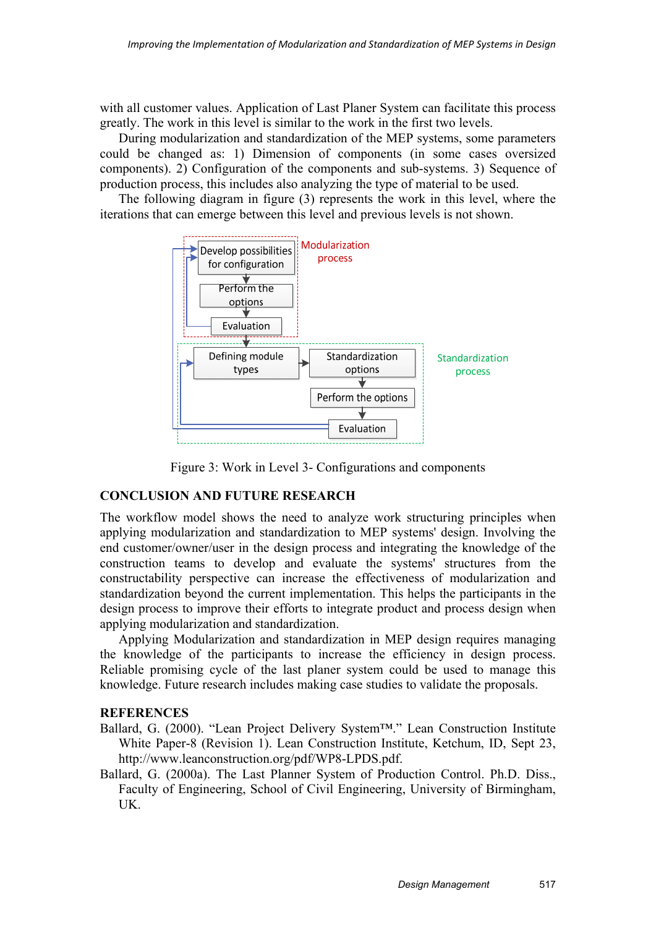with all customer values. Application of Last Planer System can facilitate this process greatly. The work in this level is similar to the work in the first two levels.

During modularization and standardization of the MEP systems, some parameters could be changed as: 1) Dimension of components (in some cases oversized components). 2) Configuration of the components and sub-systems. 3) Sequence of production process, this includes also analyzing the type of material to be used.

The following diagram in figure (3) represents the work in this level, where the iterations that can emerge between this level and previous levels is not shown.



Figure 3: Work in Level 3- Configurations and components

# **CONCLUSION AND FUTURE RESEARCH**

The workflow model shows the need to analyze work structuring principles when applying modularization and standardization to MEP systems' design. Involving the end customer/owner/user in the design process and integrating the knowledge of the construction teams to develop and evaluate the systems' structures from the constructability perspective can increase the effectiveness of modularization and standardization beyond the current implementation. This helps the participants in the design process to improve their efforts to integrate product and process design when applying modularization and standardization.

Applying Modularization and standardization in MEP design requires managing the knowledge of the participants to increase the efficiency in design process. Reliable promising cycle of the last planer system could be used to manage this knowledge. Future research includes making case studies to validate the proposals.

## **REFERENCES**

- Ballard, G. (2000). "Lean Project Delivery System™." Lean Construction Institute White Paper-8 (Revision 1). Lean Construction Institute, Ketchum, ID, Sept 23, http://www.leanconstruction.org/pdf/WP8-LPDS.pdf.
- Ballard, G. (2000a). The Last Planner System of Production Control. Ph.D. Diss., Faculty of Engineering, School of Civil Engineering, University of Birmingham, UK.